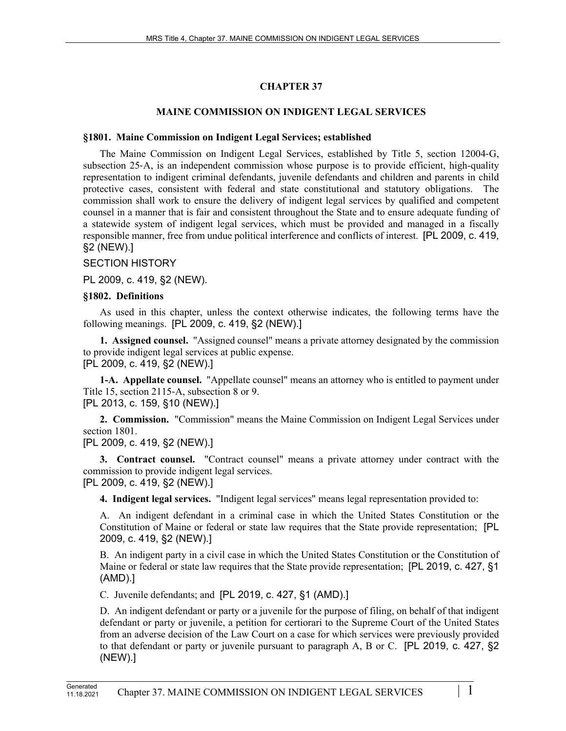## **CHAPTER 37**

### **MAINE COMMISSION ON INDIGENT LEGAL SERVICES**

#### **§1801. Maine Commission on Indigent Legal Services; established**

The Maine Commission on Indigent Legal Services, established by Title 5, section 12004–G, subsection 25–A, is an independent commission whose purpose is to provide efficient, high-quality representation to indigent criminal defendants, juvenile defendants and children and parents in child protective cases, consistent with federal and state constitutional and statutory obligations. The commission shall work to ensure the delivery of indigent legal services by qualified and competent counsel in a manner that is fair and consistent throughout the State and to ensure adequate funding of a statewide system of indigent legal services, which must be provided and managed in a fiscally responsible manner, free from undue political interference and conflicts of interest. [PL 2009, c. 419, §2 (NEW).]

### SECTION HISTORY

PL 2009, c. 419, §2 (NEW).

#### **§1802. Definitions**

As used in this chapter, unless the context otherwise indicates, the following terms have the following meanings. [PL 2009, c. 419, §2 (NEW).]

**1. Assigned counsel.** "Assigned counsel" means a private attorney designated by the commission to provide indigent legal services at public expense. [PL 2009, c. 419, §2 (NEW).]

**1-A. Appellate counsel.** "Appellate counsel" means an attorney who is entitled to payment under Title 15, section 2115-A, subsection 8 or 9. [PL 2013, c. 159, §10 (NEW).]

**2. Commission.** "Commission" means the Maine Commission on Indigent Legal Services under section 1801.

[PL 2009, c. 419, §2 (NEW).]

**3. Contract counsel.** "Contract counsel" means a private attorney under contract with the commission to provide indigent legal services.

[PL 2009, c. 419, §2 (NEW).]

**4. Indigent legal services.** "Indigent legal services" means legal representation provided to:

A. An indigent defendant in a criminal case in which the United States Constitution or the Constitution of Maine or federal or state law requires that the State provide representation; [PL 2009, c. 419, §2 (NEW).]

B. An indigent party in a civil case in which the United States Constitution or the Constitution of Maine or federal or state law requires that the State provide representation; [PL 2019, c. 427, §1 (AMD).]

C. Juvenile defendants; and [PL 2019, c. 427, §1 (AMD).]

D. An indigent defendant or party or a juvenile for the purpose of filing, on behalf of that indigent defendant or party or juvenile, a petition for certiorari to the Supreme Court of the United States from an adverse decision of the Law Court on a case for which services were previously provided to that defendant or party or juvenile pursuant to paragraph A, B or C. [PL 2019, c. 427, §2 (NEW).]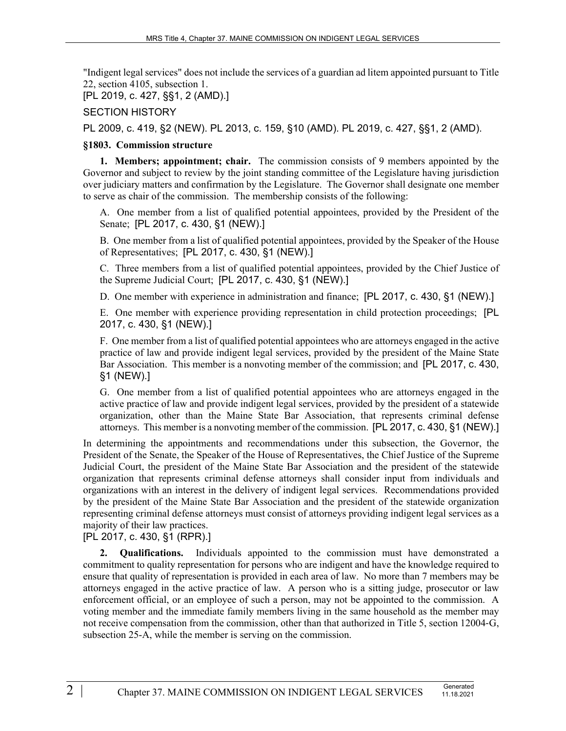"Indigent legal services" does not include the services of a guardian ad litem appointed pursuant to Title 22, section 4105, subsection 1.

[PL 2019, c. 427, §§1, 2 (AMD).]

#### SECTION HISTORY

PL 2009, c. 419, §2 (NEW). PL 2013, c. 159, §10 (AMD). PL 2019, c. 427, §§1, 2 (AMD).

#### **§1803. Commission structure**

**1. Members; appointment; chair.** The commission consists of 9 members appointed by the Governor and subject to review by the joint standing committee of the Legislature having jurisdiction over judiciary matters and confirmation by the Legislature. The Governor shall designate one member to serve as chair of the commission. The membership consists of the following:

A. One member from a list of qualified potential appointees, provided by the President of the Senate; [PL 2017, c. 430, §1 (NEW).]

B. One member from a list of qualified potential appointees, provided by the Speaker of the House of Representatives; [PL 2017, c. 430, §1 (NEW).]

C. Three members from a list of qualified potential appointees, provided by the Chief Justice of the Supreme Judicial Court; [PL 2017, c. 430, §1 (NEW).]

D. One member with experience in administration and finance; [PL 2017, c. 430, §1 (NEW).]

E. One member with experience providing representation in child protection proceedings; [PL 2017, c. 430, §1 (NEW).]

F. One member from a list of qualified potential appointees who are attorneys engaged in the active practice of law and provide indigent legal services, provided by the president of the Maine State Bar Association. This member is a nonvoting member of the commission; and [PL 2017, c. 430, §1 (NEW).]

G. One member from a list of qualified potential appointees who are attorneys engaged in the active practice of law and provide indigent legal services, provided by the president of a statewide organization, other than the Maine State Bar Association, that represents criminal defense attorneys. This member is a nonvoting member of the commission. [PL 2017, c. 430, §1 (NEW).]

In determining the appointments and recommendations under this subsection, the Governor, the President of the Senate, the Speaker of the House of Representatives, the Chief Justice of the Supreme Judicial Court, the president of the Maine State Bar Association and the president of the statewide organization that represents criminal defense attorneys shall consider input from individuals and organizations with an interest in the delivery of indigent legal services. Recommendations provided by the president of the Maine State Bar Association and the president of the statewide organization representing criminal defense attorneys must consist of attorneys providing indigent legal services as a majority of their law practices.

[PL 2017, c. 430, §1 (RPR).]

**2. Qualifications.** Individuals appointed to the commission must have demonstrated a commitment to quality representation for persons who are indigent and have the knowledge required to ensure that quality of representation is provided in each area of law. No more than 7 members may be attorneys engaged in the active practice of law. A person who is a sitting judge, prosecutor or law enforcement official, or an employee of such a person, may not be appointed to the commission. A voting member and the immediate family members living in the same household as the member may not receive compensation from the commission, other than that authorized in Title 5, section 12004–G, subsection 25-A, while the member is serving on the commission.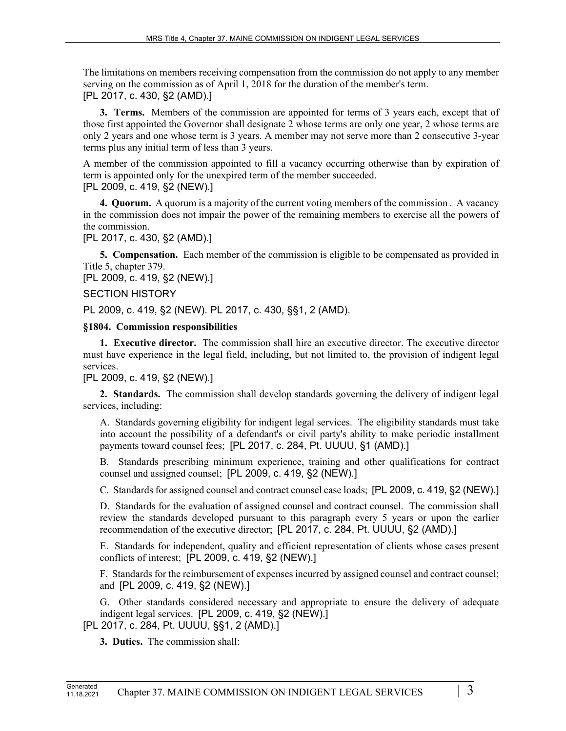The limitations on members receiving compensation from the commission do not apply to any member serving on the commission as of April 1, 2018 for the duration of the member's term. [PL 2017, c. 430, §2 (AMD).]

**3. Terms.** Members of the commission are appointed for terms of 3 years each, except that of those first appointed the Governor shall designate 2 whose terms are only one year, 2 whose terms are only 2 years and one whose term is 3 years. A member may not serve more than 2 consecutive 3-year terms plus any initial term of less than 3 years.

A member of the commission appointed to fill a vacancy occurring otherwise than by expiration of term is appointed only for the unexpired term of the member succeeded.

## [PL 2009, c. 419, §2 (NEW).]

**4. Quorum.** A quorum is a majority of the current voting members of the commission . A vacancy in the commission does not impair the power of the remaining members to exercise all the powers of the commission.

[PL 2017, c. 430, §2 (AMD).]

**5. Compensation.** Each member of the commission is eligible to be compensated as provided in Title 5, chapter 379.

[PL 2009, c. 419, §2 (NEW).]

## SECTION HISTORY

PL 2009, c. 419, §2 (NEW). PL 2017, c. 430, §§1, 2 (AMD).

## **§1804. Commission responsibilities**

**1. Executive director.** The commission shall hire an executive director. The executive director must have experience in the legal field, including, but not limited to, the provision of indigent legal services.

# [PL 2009, c. 419, §2 (NEW).]

**2. Standards.** The commission shall develop standards governing the delivery of indigent legal services, including:

A. Standards governing eligibility for indigent legal services. The eligibility standards must take into account the possibility of a defendant's or civil party's ability to make periodic installment payments toward counsel fees; [PL 2017, c. 284, Pt. UUUU, §1 (AMD).]

B. Standards prescribing minimum experience, training and other qualifications for contract counsel and assigned counsel; [PL 2009, c. 419, §2 (NEW).]

C. Standards for assigned counsel and contract counsel case loads; [PL 2009, c. 419, §2 (NEW).]

D. Standards for the evaluation of assigned counsel and contract counsel. The commission shall review the standards developed pursuant to this paragraph every 5 years or upon the earlier recommendation of the executive director; [PL 2017, c. 284, Pt. UUUU, §2 (AMD).]

E. Standards for independent, quality and efficient representation of clients whose cases present conflicts of interest; [PL 2009, c. 419, §2 (NEW).]

F. Standards for the reimbursement of expenses incurred by assigned counsel and contract counsel; and [PL 2009, c. 419, §2 (NEW).]

G. Other standards considered necessary and appropriate to ensure the delivery of adequate indigent legal services. [PL 2009, c. 419, §2 (NEW).]

[PL 2017, c. 284, Pt. UUUU, §§1, 2 (AMD).]

**3. Duties.** The commission shall: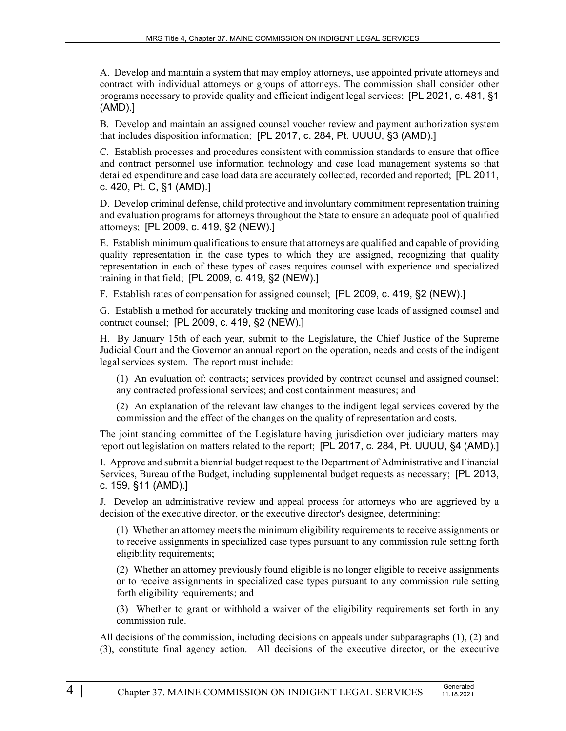A. Develop and maintain a system that may employ attorneys, use appointed private attorneys and contract with individual attorneys or groups of attorneys. The commission shall consider other programs necessary to provide quality and efficient indigent legal services; [PL 2021, c. 481, §1 (AMD).]

B. Develop and maintain an assigned counsel voucher review and payment authorization system that includes disposition information; [PL 2017, c. 284, Pt. UUUU, §3 (AMD).]

C. Establish processes and procedures consistent with commission standards to ensure that office and contract personnel use information technology and case load management systems so that detailed expenditure and case load data are accurately collected, recorded and reported; [PL 2011, c. 420, Pt. C, §1 (AMD).]

D. Develop criminal defense, child protective and involuntary commitment representation training and evaluation programs for attorneys throughout the State to ensure an adequate pool of qualified attorneys; [PL 2009, c. 419, §2 (NEW).]

E. Establish minimum qualifications to ensure that attorneys are qualified and capable of providing quality representation in the case types to which they are assigned, recognizing that quality representation in each of these types of cases requires counsel with experience and specialized training in that field; [PL 2009, c. 419, §2 (NEW).]

F. Establish rates of compensation for assigned counsel; [PL 2009, c. 419, §2 (NEW).]

G. Establish a method for accurately tracking and monitoring case loads of assigned counsel and contract counsel; [PL 2009, c. 419, §2 (NEW).]

H. By January 15th of each year, submit to the Legislature, the Chief Justice of the Supreme Judicial Court and the Governor an annual report on the operation, needs and costs of the indigent legal services system. The report must include:

(1) An evaluation of: contracts; services provided by contract counsel and assigned counsel; any contracted professional services; and cost containment measures; and

(2) An explanation of the relevant law changes to the indigent legal services covered by the commission and the effect of the changes on the quality of representation and costs.

The joint standing committee of the Legislature having jurisdiction over judiciary matters may report out legislation on matters related to the report; [PL 2017, c. 284, Pt. UUUU, §4 (AMD).]

I. Approve and submit a biennial budget request to the Department of Administrative and Financial Services, Bureau of the Budget, including supplemental budget requests as necessary; [PL 2013, c. 159, §11 (AMD).]

J. Develop an administrative review and appeal process for attorneys who are aggrieved by a decision of the executive director, or the executive director's designee, determining:

(1) Whether an attorney meets the minimum eligibility requirements to receive assignments or to receive assignments in specialized case types pursuant to any commission rule setting forth eligibility requirements;

(2) Whether an attorney previously found eligible is no longer eligible to receive assignments or to receive assignments in specialized case types pursuant to any commission rule setting forth eligibility requirements; and

(3) Whether to grant or withhold a waiver of the eligibility requirements set forth in any commission rule.

All decisions of the commission, including decisions on appeals under subparagraphs (1), (2) and (3), constitute final agency action. All decisions of the executive director, or the executive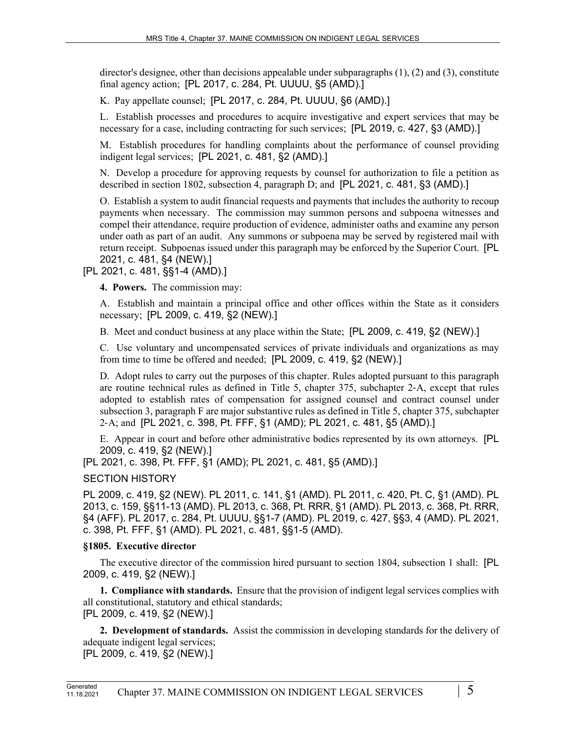director's designee, other than decisions appealable under subparagraphs  $(1)$ ,  $(2)$  and  $(3)$ , constitute final agency action; [PL 2017, c. 284, Pt. UUUU, §5 (AMD).]

K. Pay appellate counsel; [PL 2017, c. 284, Pt. UUUU, §6 (AMD).]

L. Establish processes and procedures to acquire investigative and expert services that may be necessary for a case, including contracting for such services; [PL 2019, c. 427, §3 (AMD).]

M. Establish procedures for handling complaints about the performance of counsel providing indigent legal services; [PL 2021, c. 481, §2 (AMD).]

N. Develop a procedure for approving requests by counsel for authorization to file a petition as described in section 1802, subsection 4, paragraph D; and [PL 2021, c. 481, §3 (AMD).]

O. Establish a system to audit financial requests and payments that includes the authority to recoup payments when necessary. The commission may summon persons and subpoena witnesses and compel their attendance, require production of evidence, administer oaths and examine any person under oath as part of an audit. Any summons or subpoena may be served by registered mail with return receipt. Subpoenas issued under this paragraph may be enforced by the Superior Court. [PL 2021, c. 481, §4 (NEW).]

[PL 2021, c. 481, §§1-4 (AMD).]

**4. Powers.** The commission may:

A. Establish and maintain a principal office and other offices within the State as it considers necessary; [PL 2009, c. 419, §2 (NEW).]

B. Meet and conduct business at any place within the State; [PL 2009, c. 419, §2 (NEW).]

C. Use voluntary and uncompensated services of private individuals and organizations as may from time to time be offered and needed; [PL 2009, c. 419, §2 (NEW).]

D. Adopt rules to carry out the purposes of this chapter. Rules adopted pursuant to this paragraph are routine technical rules as defined in Title 5, chapter 375, subchapter 2‑A, except that rules adopted to establish rates of compensation for assigned counsel and contract counsel under subsection 3, paragraph F are major substantive rules as defined in Title 5, chapter 375, subchapter 2‑A; and [PL 2021, c. 398, Pt. FFF, §1 (AMD); PL 2021, c. 481, §5 (AMD).]

E. Appear in court and before other administrative bodies represented by its own attorneys. [PL 2009, c. 419, §2 (NEW).]

[PL 2021, c. 398, Pt. FFF, §1 (AMD); PL 2021, c. 481, §5 (AMD).]

SECTION HISTORY

PL 2009, c. 419, §2 (NEW). PL 2011, c. 141, §1 (AMD). PL 2011, c. 420, Pt. C, §1 (AMD). PL 2013, c. 159, §§11-13 (AMD). PL 2013, c. 368, Pt. RRR, §1 (AMD). PL 2013, c. 368, Pt. RRR, §4 (AFF). PL 2017, c. 284, Pt. UUUU, §§1-7 (AMD). PL 2019, c. 427, §§3, 4 (AMD). PL 2021, c. 398, Pt. FFF, §1 (AMD). PL 2021, c. 481, §§1-5 (AMD).

# **§1805. Executive director**

The executive director of the commission hired pursuant to section 1804, subsection 1 shall: [PL 2009, c. 419, §2 (NEW).]

**1. Compliance with standards.** Ensure that the provision of indigent legal services complies with all constitutional, statutory and ethical standards; [PL 2009, c. 419, §2 (NEW).]

**2. Development of standards.** Assist the commission in developing standards for the delivery of adequate indigent legal services; [PL 2009, c. 419, §2 (NEW).]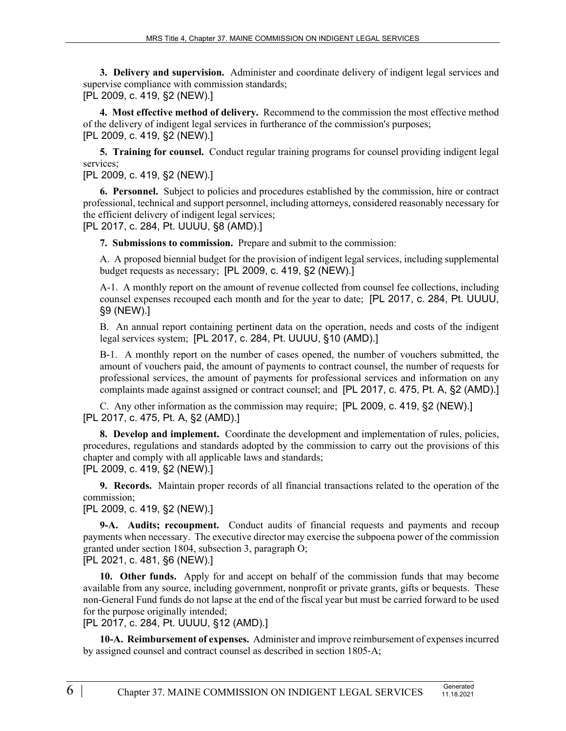**3. Delivery and supervision.** Administer and coordinate delivery of indigent legal services and supervise compliance with commission standards; [PL 2009, c. 419, §2 (NEW).]

**4. Most effective method of delivery.** Recommend to the commission the most effective method of the delivery of indigent legal services in furtherance of the commission's purposes; [PL 2009, c. 419, §2 (NEW).]

**5. Training for counsel.** Conduct regular training programs for counsel providing indigent legal services;

[PL 2009, c. 419, §2 (NEW).]

**6. Personnel.** Subject to policies and procedures established by the commission, hire or contract professional, technical and support personnel, including attorneys, considered reasonably necessary for the efficient delivery of indigent legal services;

[PL 2017, c. 284, Pt. UUUU, §8 (AMD).]

**7. Submissions to commission.** Prepare and submit to the commission:

A. A proposed biennial budget for the provision of indigent legal services, including supplemental budget requests as necessary; [PL 2009, c. 419, §2 (NEW).]

A-1. A monthly report on the amount of revenue collected from counsel fee collections, including counsel expenses recouped each month and for the year to date; [PL 2017, c. 284, Pt. UUUU, §9 (NEW).]

B. An annual report containing pertinent data on the operation, needs and costs of the indigent legal services system; [PL 2017, c. 284, Pt. UUUU, §10 (AMD).]

B-1. A monthly report on the number of cases opened, the number of vouchers submitted, the amount of vouchers paid, the amount of payments to contract counsel, the number of requests for professional services, the amount of payments for professional services and information on any complaints made against assigned or contract counsel; and [PL 2017, c. 475, Pt. A, §2 (AMD).]

C. Any other information as the commission may require; [PL 2009, c. 419, §2 (NEW).] [PL 2017, c. 475, Pt. A, §2 (AMD).]

**8. Develop and implement.** Coordinate the development and implementation of rules, policies, procedures, regulations and standards adopted by the commission to carry out the provisions of this chapter and comply with all applicable laws and standards; [PL 2009, c. 419, §2 (NEW).]

**9. Records.** Maintain proper records of all financial transactions related to the operation of the commission;

[PL 2009, c. 419, §2 (NEW).]

**9-A. Audits; recoupment.** Conduct audits of financial requests and payments and recoup payments when necessary. The executive director may exercise the subpoena power of the commission granted under section 1804, subsection 3, paragraph O;

[PL 2021, c. 481, §6 (NEW).]

**10. Other funds.** Apply for and accept on behalf of the commission funds that may become available from any source, including government, nonprofit or private grants, gifts or bequests. These non-General Fund funds do not lapse at the end of the fiscal year but must be carried forward to be used for the purpose originally intended;

[PL 2017, c. 284, Pt. UUUU, §12 (AMD).]

**10-A. Reimbursement of expenses.** Administer and improve reimbursement of expenses incurred by assigned counsel and contract counsel as described in section 1805‑A;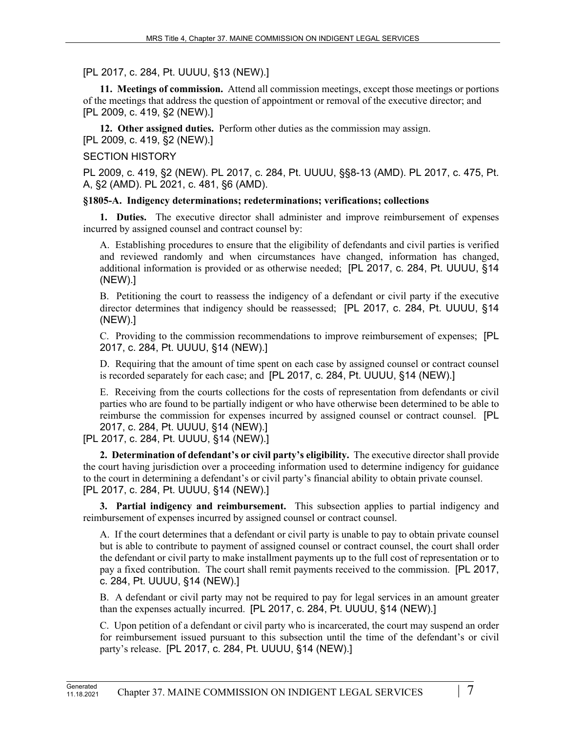## [PL 2017, c. 284, Pt. UUUU, §13 (NEW).]

**11. Meetings of commission.** Attend all commission meetings, except those meetings or portions of the meetings that address the question of appointment or removal of the executive director; and [PL 2009, c. 419, §2 (NEW).]

**12. Other assigned duties.** Perform other duties as the commission may assign. [PL 2009, c. 419, §2 (NEW).]

### SECTION HISTORY

PL 2009, c. 419, §2 (NEW). PL 2017, c. 284, Pt. UUUU, §§8-13 (AMD). PL 2017, c. 475, Pt. A, §2 (AMD). PL 2021, c. 481, §6 (AMD).

### **§1805-A. Indigency determinations; redeterminations; verifications; collections**

**1. Duties.** The executive director shall administer and improve reimbursement of expenses incurred by assigned counsel and contract counsel by:

A. Establishing procedures to ensure that the eligibility of defendants and civil parties is verified and reviewed randomly and when circumstances have changed, information has changed, additional information is provided or as otherwise needed; [PL 2017, c. 284, Pt. UUUU, §14 (NEW).]

B. Petitioning the court to reassess the indigency of a defendant or civil party if the executive director determines that indigency should be reassessed; [PL 2017, c. 284, Pt. UUUU, §14 (NEW).]

C. Providing to the commission recommendations to improve reimbursement of expenses; [PL 2017, c. 284, Pt. UUUU, §14 (NEW).]

D. Requiring that the amount of time spent on each case by assigned counsel or contract counsel is recorded separately for each case; and [PL 2017, c. 284, Pt. UUUU, §14 (NEW).]

E. Receiving from the courts collections for the costs of representation from defendants or civil parties who are found to be partially indigent or who have otherwise been determined to be able to reimburse the commission for expenses incurred by assigned counsel or contract counsel. [PL 2017, c. 284, Pt. UUUU, §14 (NEW).]

[PL 2017, c. 284, Pt. UUUU, §14 (NEW).]

**2. Determination of defendant's or civil party's eligibility.** The executive director shall provide the court having jurisdiction over a proceeding information used to determine indigency for guidance to the court in determining a defendant's or civil party's financial ability to obtain private counsel. [PL 2017, c. 284, Pt. UUUU, §14 (NEW).]

**3. Partial indigency and reimbursement.** This subsection applies to partial indigency and reimbursement of expenses incurred by assigned counsel or contract counsel.

A. If the court determines that a defendant or civil party is unable to pay to obtain private counsel but is able to contribute to payment of assigned counsel or contract counsel, the court shall order the defendant or civil party to make installment payments up to the full cost of representation or to pay a fixed contribution. The court shall remit payments received to the commission. [PL 2017, c. 284, Pt. UUUU, §14 (NEW).]

B. A defendant or civil party may not be required to pay for legal services in an amount greater than the expenses actually incurred. [PL 2017, c. 284, Pt. UUUU, §14 (NEW).]

C. Upon petition of a defendant or civil party who is incarcerated, the court may suspend an order for reimbursement issued pursuant to this subsection until the time of the defendant's or civil party's release. [PL 2017, c. 284, Pt. UUUU, §14 (NEW).]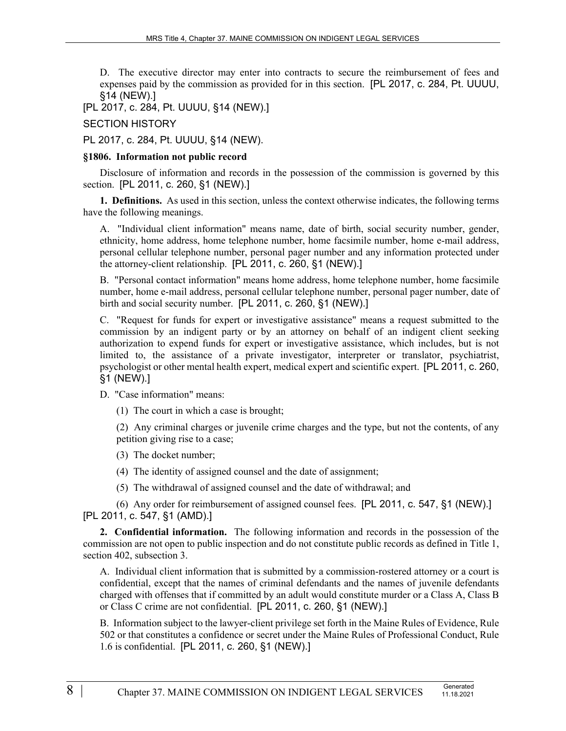D. The executive director may enter into contracts to secure the reimbursement of fees and expenses paid by the commission as provided for in this section. [PL 2017, c. 284, Pt. UUUU, §14 (NEW).]

[PL 2017, c. 284, Pt. UUUU, §14 (NEW).]

SECTION HISTORY

PL 2017, c. 284, Pt. UUUU, §14 (NEW).

### **§1806. Information not public record**

Disclosure of information and records in the possession of the commission is governed by this section. [PL 2011, c. 260, §1 (NEW).]

**1. Definitions.** As used in this section, unless the context otherwise indicates, the following terms have the following meanings.

A. "Individual client information" means name, date of birth, social security number, gender, ethnicity, home address, home telephone number, home facsimile number, home e-mail address, personal cellular telephone number, personal pager number and any information protected under the attorney-client relationship. [PL 2011, c. 260, §1 (NEW).]

B. "Personal contact information" means home address, home telephone number, home facsimile number, home e-mail address, personal cellular telephone number, personal pager number, date of birth and social security number. [PL 2011, c. 260, §1 (NEW).]

C. "Request for funds for expert or investigative assistance" means a request submitted to the commission by an indigent party or by an attorney on behalf of an indigent client seeking authorization to expend funds for expert or investigative assistance, which includes, but is not limited to, the assistance of a private investigator, interpreter or translator, psychiatrist, psychologist or other mental health expert, medical expert and scientific expert. [PL 2011, c. 260, §1 (NEW).]

D. "Case information" means:

(1) The court in which a case is brought;

(2) Any criminal charges or juvenile crime charges and the type, but not the contents, of any petition giving rise to a case;

(3) The docket number;

(4) The identity of assigned counsel and the date of assignment;

(5) The withdrawal of assigned counsel and the date of withdrawal; and

(6) Any order for reimbursement of assigned counsel fees. [PL 2011, c. 547, §1 (NEW).] [PL 2011, c. 547, §1 (AMD).]

**2. Confidential information.** The following information and records in the possession of the commission are not open to public inspection and do not constitute public records as defined in Title 1, section 402, subsection 3.

A. Individual client information that is submitted by a commission-rostered attorney or a court is confidential, except that the names of criminal defendants and the names of juvenile defendants charged with offenses that if committed by an adult would constitute murder or a Class A, Class B or Class C crime are not confidential. [PL 2011, c. 260, §1 (NEW).]

B. Information subject to the lawyer-client privilege set forth in the Maine Rules of Evidence, Rule 502 or that constitutes a confidence or secret under the Maine Rules of Professional Conduct, Rule 1.6 is confidential. [PL 2011, c. 260, §1 (NEW).]